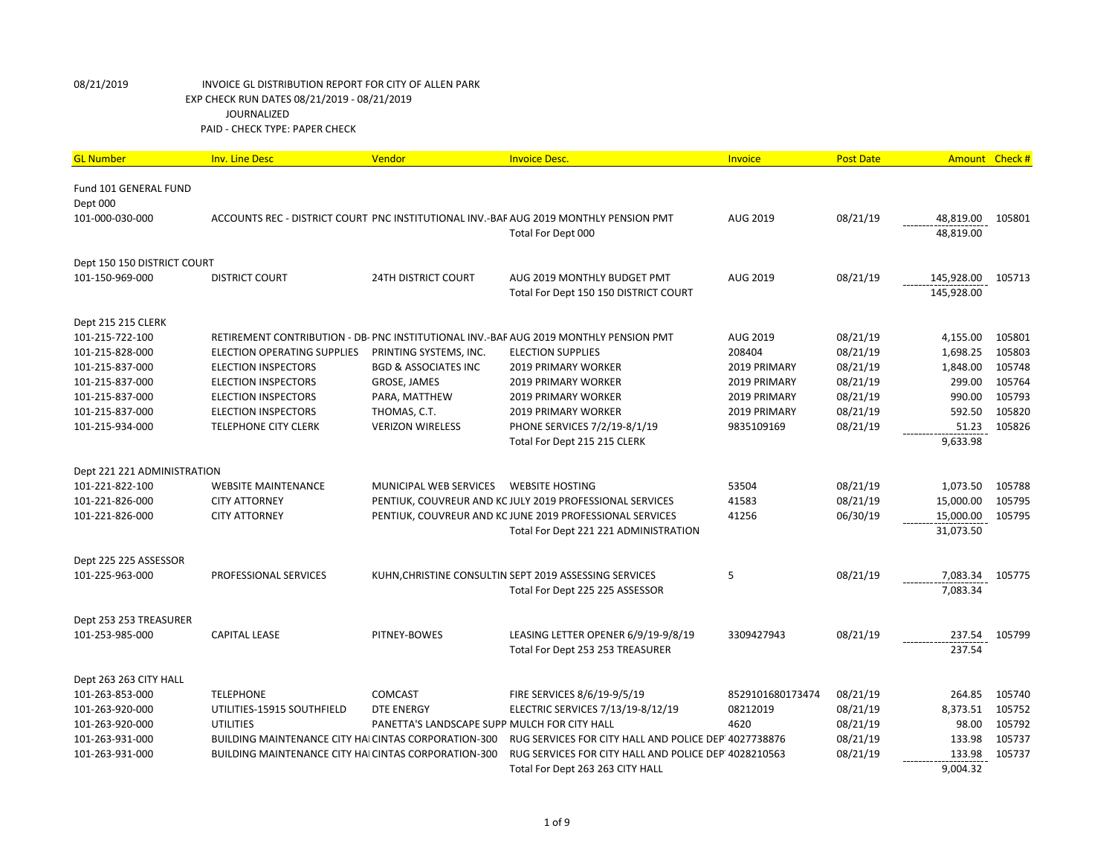| <b>GL Number</b>            | <b>Inv. Line Desc</b>                                | Vendor                                       | <b>Invoice Desc.</b>                                                                  | Invoice          | <b>Post Date</b> | <b>Amount</b> | Check# |
|-----------------------------|------------------------------------------------------|----------------------------------------------|---------------------------------------------------------------------------------------|------------------|------------------|---------------|--------|
| Fund 101 GENERAL FUND       |                                                      |                                              |                                                                                       |                  |                  |               |        |
| Dept 000                    |                                                      |                                              |                                                                                       |                  |                  |               |        |
| 101-000-030-000             |                                                      |                                              | ACCOUNTS REC - DISTRICT COURT PNC INSTITUTIONAL INV.-BAF AUG 2019 MONTHLY PENSION PMT | AUG 2019         | 08/21/19         | 48,819.00     | 105801 |
|                             |                                                      |                                              | Total For Dept 000                                                                    |                  |                  | 48,819.00     |        |
| Dept 150 150 DISTRICT COURT |                                                      |                                              |                                                                                       |                  |                  |               |        |
| 101-150-969-000             | <b>DISTRICT COURT</b>                                | <b>24TH DISTRICT COURT</b>                   | AUG 2019 MONTHLY BUDGET PMT                                                           | AUG 2019         | 08/21/19         | 145,928.00    | 105713 |
|                             |                                                      |                                              | Total For Dept 150 150 DISTRICT COURT                                                 |                  |                  | 145,928.00    |        |
| Dept 215 215 CLERK          |                                                      |                                              |                                                                                       |                  |                  |               |        |
| 101-215-722-100             |                                                      |                                              | RETIREMENT CONTRIBUTION - DB- PNC INSTITUTIONAL INV.-BAF AUG 2019 MONTHLY PENSION PMT | AUG 2019         | 08/21/19         | 4,155.00      | 105801 |
| 101-215-828-000             | ELECTION OPERATING SUPPLIES                          | PRINTING SYSTEMS, INC.                       | <b>ELECTION SUPPLIES</b>                                                              | 208404           | 08/21/19         | 1,698.25      | 105803 |
| 101-215-837-000             | <b>ELECTION INSPECTORS</b>                           | <b>BGD &amp; ASSOCIATES INC</b>              | <b>2019 PRIMARY WORKER</b>                                                            | 2019 PRIMARY     | 08/21/19         | 1,848.00      | 105748 |
| 101-215-837-000             | <b>ELECTION INSPECTORS</b>                           | GROSE, JAMES                                 | <b>2019 PRIMARY WORKER</b>                                                            | 2019 PRIMARY     | 08/21/19         | 299.00        | 105764 |
| 101-215-837-000             | <b>ELECTION INSPECTORS</b>                           | PARA, MATTHEW                                | <b>2019 PRIMARY WORKER</b>                                                            | 2019 PRIMARY     | 08/21/19         | 990.00        | 105793 |
| 101-215-837-000             | <b>ELECTION INSPECTORS</b>                           | THOMAS, C.T.                                 | 2019 PRIMARY WORKER                                                                   | 2019 PRIMARY     | 08/21/19         | 592.50        | 105820 |
| 101-215-934-000             | <b>TELEPHONE CITY CLERK</b>                          | <b>VERIZON WIRELESS</b>                      | PHONE SERVICES 7/2/19-8/1/19                                                          | 9835109169       | 08/21/19         | 51.23         | 105826 |
|                             |                                                      |                                              | Total For Dept 215 215 CLERK                                                          |                  |                  | 9,633.98      |        |
| Dept 221 221 ADMINISTRATION |                                                      |                                              |                                                                                       |                  |                  |               |        |
| 101-221-822-100             | <b>WEBSITE MAINTENANCE</b>                           | MUNICIPAL WEB SERVICES                       | <b>WEBSITE HOSTING</b>                                                                | 53504            | 08/21/19         | 1,073.50      | 105788 |
| 101-221-826-000             | <b>CITY ATTORNEY</b>                                 |                                              | PENTIUK, COUVREUR AND KC JULY 2019 PROFESSIONAL SERVICES                              | 41583            | 08/21/19         | 15,000.00     | 105795 |
| 101-221-826-000             | <b>CITY ATTORNEY</b>                                 |                                              | PENTIUK, COUVREUR AND KC JUNE 2019 PROFESSIONAL SERVICES                              | 41256            | 06/30/19         | 15,000.00     | 105795 |
|                             |                                                      |                                              | Total For Dept 221 221 ADMINISTRATION                                                 |                  |                  | 31,073.50     |        |
| Dept 225 225 ASSESSOR       |                                                      |                                              |                                                                                       |                  |                  |               |        |
| 101-225-963-000             | PROFESSIONAL SERVICES                                |                                              | KUHN, CHRISTINE CONSULTIN SEPT 2019 ASSESSING SERVICES                                | 5                | 08/21/19         | 7,083.34      | 105775 |
|                             |                                                      |                                              | Total For Dept 225 225 ASSESSOR                                                       |                  |                  | 7,083.34      |        |
| Dept 253 253 TREASURER      |                                                      |                                              |                                                                                       |                  |                  |               |        |
| 101-253-985-000             | <b>CAPITAL LEASE</b>                                 | PITNEY-BOWES                                 | LEASING LETTER OPENER 6/9/19-9/8/19                                                   | 3309427943       | 08/21/19         | 237.54        | 105799 |
|                             |                                                      |                                              | Total For Dept 253 253 TREASURER                                                      |                  |                  | 237.54        |        |
| Dept 263 263 CITY HALL      |                                                      |                                              |                                                                                       |                  |                  |               |        |
| 101-263-853-000             | <b>TELEPHONE</b>                                     | COMCAST                                      | FIRE SERVICES 8/6/19-9/5/19                                                           | 8529101680173474 | 08/21/19         | 264.85        | 105740 |
| 101-263-920-000             | UTILITIES-15915 SOUTHFIELD                           | <b>DTE ENERGY</b>                            | ELECTRIC SERVICES 7/13/19-8/12/19                                                     | 08212019         | 08/21/19         | 8,373.51      | 105752 |
| 101-263-920-000             | <b>UTILITIES</b>                                     | PANETTA'S LANDSCAPE SUPP MULCH FOR CITY HALL |                                                                                       | 4620             | 08/21/19         | 98.00         | 105792 |
| 101-263-931-000             | BUILDING MAINTENANCE CITY HAI CINTAS CORPORATION-300 |                                              | RUG SERVICES FOR CITY HALL AND POLICE DEP 4027738876                                  |                  | 08/21/19         | 133.98        | 105737 |
| 101-263-931-000             | BUILDING MAINTENANCE CITY HAI CINTAS CORPORATION-300 |                                              | RUG SERVICES FOR CITY HALL AND POLICE DEP 4028210563                                  |                  | 08/21/19         | 133.98        | 105737 |
|                             |                                                      |                                              | Total For Dept 263 263 CITY HALL                                                      |                  |                  | 9,004.32      |        |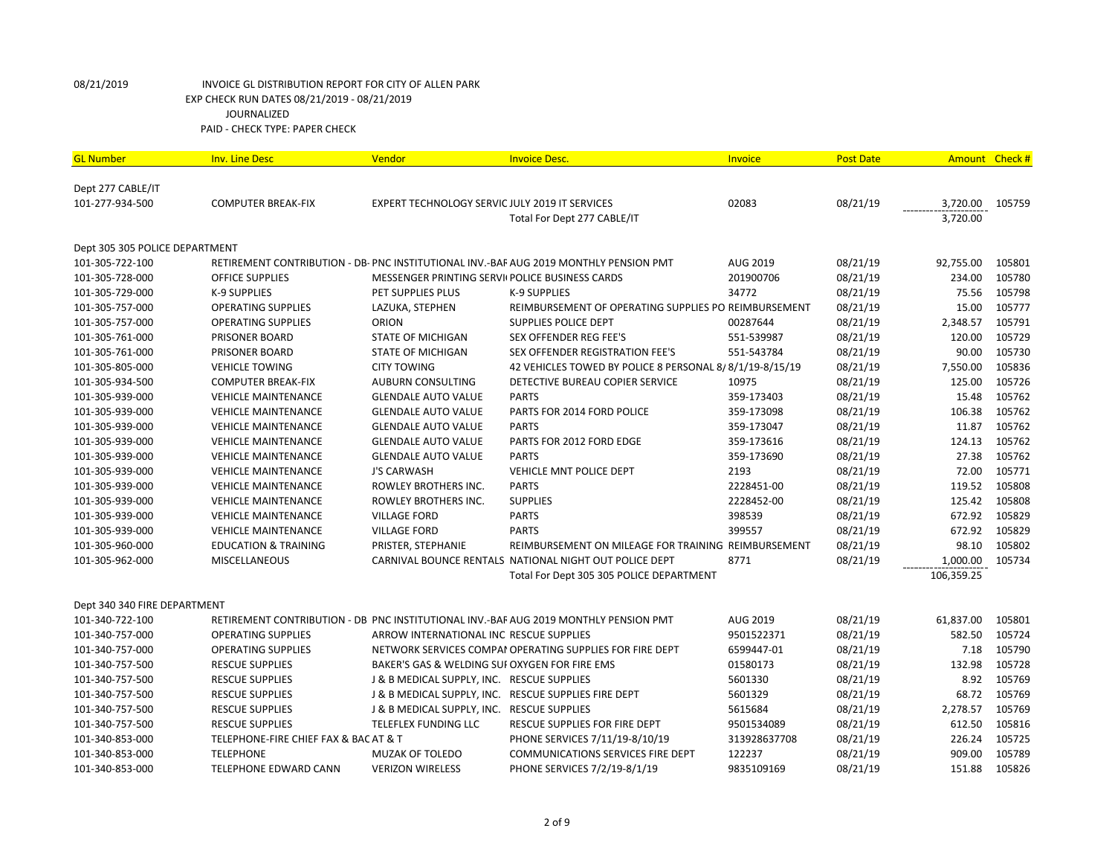| <b>GL Number</b>               | <b>Inv. Line Desc</b>                 | Vendor                                                | <b>Invoice Desc.</b>                                                                  | <b>Invoice</b> | <b>Post Date</b> | Amount Check # |        |
|--------------------------------|---------------------------------------|-------------------------------------------------------|---------------------------------------------------------------------------------------|----------------|------------------|----------------|--------|
| Dept 277 CABLE/IT              |                                       |                                                       |                                                                                       |                |                  |                |        |
| 101-277-934-500                | <b>COMPUTER BREAK-FIX</b>             | <b>EXPERT TECHNOLOGY SERVIC JULY 2019 IT SERVICES</b> |                                                                                       | 02083          | 08/21/19         | 3,720.00       | 105759 |
|                                |                                       |                                                       | Total For Dept 277 CABLE/IT                                                           |                |                  | 3,720.00       |        |
|                                |                                       |                                                       |                                                                                       |                |                  |                |        |
| Dept 305 305 POLICE DEPARTMENT |                                       |                                                       |                                                                                       |                |                  |                |        |
| 101-305-722-100                |                                       |                                                       | RETIREMENT CONTRIBUTION - DB- PNC INSTITUTIONAL INV.-BAF AUG 2019 MONTHLY PENSION PMT | AUG 2019       | 08/21/19         | 92,755.00      | 105801 |
| 101-305-728-000                | <b>OFFICE SUPPLIES</b>                | MESSENGER PRINTING SERVII POLICE BUSINESS CARDS       |                                                                                       | 201900706      | 08/21/19         | 234.00         | 105780 |
| 101-305-729-000                | K-9 SUPPLIES                          | PET SUPPLIES PLUS                                     | K-9 SUPPLIES                                                                          | 34772          | 08/21/19         | 75.56          | 105798 |
| 101-305-757-000                | <b>OPERATING SUPPLIES</b>             | LAZUKA, STEPHEN                                       | REIMBURSEMENT OF OPERATING SUPPLIES PO REIMBURSEMENT                                  |                | 08/21/19         | 15.00          | 105777 |
| 101-305-757-000                | <b>OPERATING SUPPLIES</b>             | ORION                                                 | SUPPLIES POLICE DEPT                                                                  | 00287644       | 08/21/19         | 2,348.57       | 105791 |
| 101-305-761-000                | <b>PRISONER BOARD</b>                 | <b>STATE OF MICHIGAN</b>                              | <b>SEX OFFENDER REG FEE'S</b>                                                         | 551-539987     | 08/21/19         | 120.00         | 105729 |
| 101-305-761-000                | PRISONER BOARD                        | <b>STATE OF MICHIGAN</b>                              | SEX OFFENDER REGISTRATION FEE'S                                                       | 551-543784     | 08/21/19         | 90.00          | 105730 |
| 101-305-805-000                | <b>VEHICLE TOWING</b>                 | <b>CITY TOWING</b>                                    | 42 VEHICLES TOWED BY POLICE 8 PERSONAL 8/8/1/19-8/15/19                               |                | 08/21/19         | 7,550.00       | 105836 |
| 101-305-934-500                | <b>COMPUTER BREAK-FIX</b>             | <b>AUBURN CONSULTING</b>                              | DETECTIVE BUREAU COPIER SERVICE                                                       | 10975          | 08/21/19         | 125.00         | 105726 |
| 101-305-939-000                | <b>VEHICLE MAINTENANCE</b>            | <b>GLENDALE AUTO VALUE</b>                            | <b>PARTS</b>                                                                          | 359-173403     | 08/21/19         | 15.48          | 105762 |
| 101-305-939-000                | <b>VEHICLE MAINTENANCE</b>            | <b>GLENDALE AUTO VALUE</b>                            | PARTS FOR 2014 FORD POLICE                                                            | 359-173098     | 08/21/19         | 106.38         | 105762 |
| 101-305-939-000                | <b>VEHICLE MAINTENANCE</b>            | <b>GLENDALE AUTO VALUE</b>                            | <b>PARTS</b>                                                                          | 359-173047     | 08/21/19         | 11.87          | 105762 |
| 101-305-939-000                | <b>VEHICLE MAINTENANCE</b>            | <b>GLENDALE AUTO VALUE</b>                            | PARTS FOR 2012 FORD EDGE                                                              | 359-173616     | 08/21/19         | 124.13         | 105762 |
| 101-305-939-000                | <b>VEHICLE MAINTENANCE</b>            | <b>GLENDALE AUTO VALUE</b>                            | <b>PARTS</b>                                                                          | 359-173690     | 08/21/19         | 27.38          | 105762 |
| 101-305-939-000                | <b>VEHICLE MAINTENANCE</b>            | <b>J'S CARWASH</b>                                    | VEHICLE MNT POLICE DEPT                                                               | 2193           | 08/21/19         | 72.00          | 105771 |
| 101-305-939-000                | <b>VEHICLE MAINTENANCE</b>            | ROWLEY BROTHERS INC.                                  | <b>PARTS</b>                                                                          | 2228451-00     | 08/21/19         | 119.52         | 105808 |
| 101-305-939-000                | <b>VEHICLE MAINTENANCE</b>            | ROWLEY BROTHERS INC.                                  | <b>SUPPLIES</b>                                                                       | 2228452-00     | 08/21/19         | 125.42         | 105808 |
| 101-305-939-000                | <b>VEHICLE MAINTENANCE</b>            | <b>VILLAGE FORD</b>                                   | <b>PARTS</b>                                                                          | 398539         | 08/21/19         | 672.92         | 105829 |
| 101-305-939-000                | <b>VEHICLE MAINTENANCE</b>            | <b>VILLAGE FORD</b>                                   | <b>PARTS</b>                                                                          | 399557         | 08/21/19         | 672.92         | 105829 |
| 101-305-960-000                | <b>EDUCATION &amp; TRAINING</b>       | PRISTER, STEPHANIE                                    | REIMBURSEMENT ON MILEAGE FOR TRAINING REIMBURSEMENT                                   |                | 08/21/19         | 98.10          | 105802 |
| 101-305-962-000                | <b>MISCELLANEOUS</b>                  |                                                       | CARNIVAL BOUNCE RENTALS NATIONAL NIGHT OUT POLICE DEPT                                | 8771           | 08/21/19         | 1,000.00       | 105734 |
|                                |                                       |                                                       | Total For Dept 305 305 POLICE DEPARTMENT                                              |                |                  | 106,359.25     |        |
|                                |                                       |                                                       |                                                                                       |                |                  |                |        |
| Dept 340 340 FIRE DEPARTMENT   |                                       |                                                       |                                                                                       |                |                  |                |        |
| 101-340-722-100                |                                       |                                                       | RETIREMENT CONTRIBUTION - DB PNC INSTITUTIONAL INV.-BAF AUG 2019 MONTHLY PENSION PMT  | AUG 2019       | 08/21/19         | 61,837.00      | 105801 |
| 101-340-757-000                | <b>OPERATING SUPPLIES</b>             | ARROW INTERNATIONAL INC RESCUE SUPPLIES               |                                                                                       | 9501522371     | 08/21/19         | 582.50         | 105724 |
| 101-340-757-000                | <b>OPERATING SUPPLIES</b>             |                                                       | NETWORK SERVICES COMPAI OPERATING SUPPLIES FOR FIRE DEPT                              | 6599447-01     | 08/21/19         | 7.18           | 105790 |
| 101-340-757-500                | <b>RESCUE SUPPLIES</b>                | BAKER'S GAS & WELDING SUI OXYGEN FOR FIRE EMS         |                                                                                       | 01580173       | 08/21/19         | 132.98         | 105728 |
| 101-340-757-500                | <b>RESCUE SUPPLIES</b>                | J & B MEDICAL SUPPLY, INC. RESCUE SUPPLIES            |                                                                                       | 5601330        | 08/21/19         | 8.92           | 105769 |
| 101-340-757-500                | <b>RESCUE SUPPLIES</b>                |                                                       | J & B MEDICAL SUPPLY, INC. RESCUE SUPPLIES FIRE DEPT                                  | 5601329        | 08/21/19         | 68.72          | 105769 |
| 101-340-757-500                | <b>RESCUE SUPPLIES</b>                | J & B MEDICAL SUPPLY, INC. RESCUE SUPPLIES            |                                                                                       | 5615684        | 08/21/19         | 2,278.57       | 105769 |
| 101-340-757-500                | <b>RESCUE SUPPLIES</b>                | TELEFLEX FUNDING LLC                                  | RESCUE SUPPLIES FOR FIRE DEPT                                                         | 9501534089     | 08/21/19         | 612.50         | 105816 |
| 101-340-853-000                | TELEPHONE-FIRE CHIEF FAX & BAC AT & T |                                                       | PHONE SERVICES 7/11/19-8/10/19                                                        | 313928637708   | 08/21/19         | 226.24         | 105725 |
| 101-340-853-000                | <b>TELEPHONE</b>                      | MUZAK OF TOLEDO                                       | COMMUNICATIONS SERVICES FIRE DEPT                                                     | 122237         | 08/21/19         | 909.00         | 105789 |
| 101-340-853-000                | TELEPHONE EDWARD CANN                 | <b>VERIZON WIRELESS</b>                               | PHONE SERVICES 7/2/19-8/1/19                                                          | 9835109169     | 08/21/19         | 151.88         | 105826 |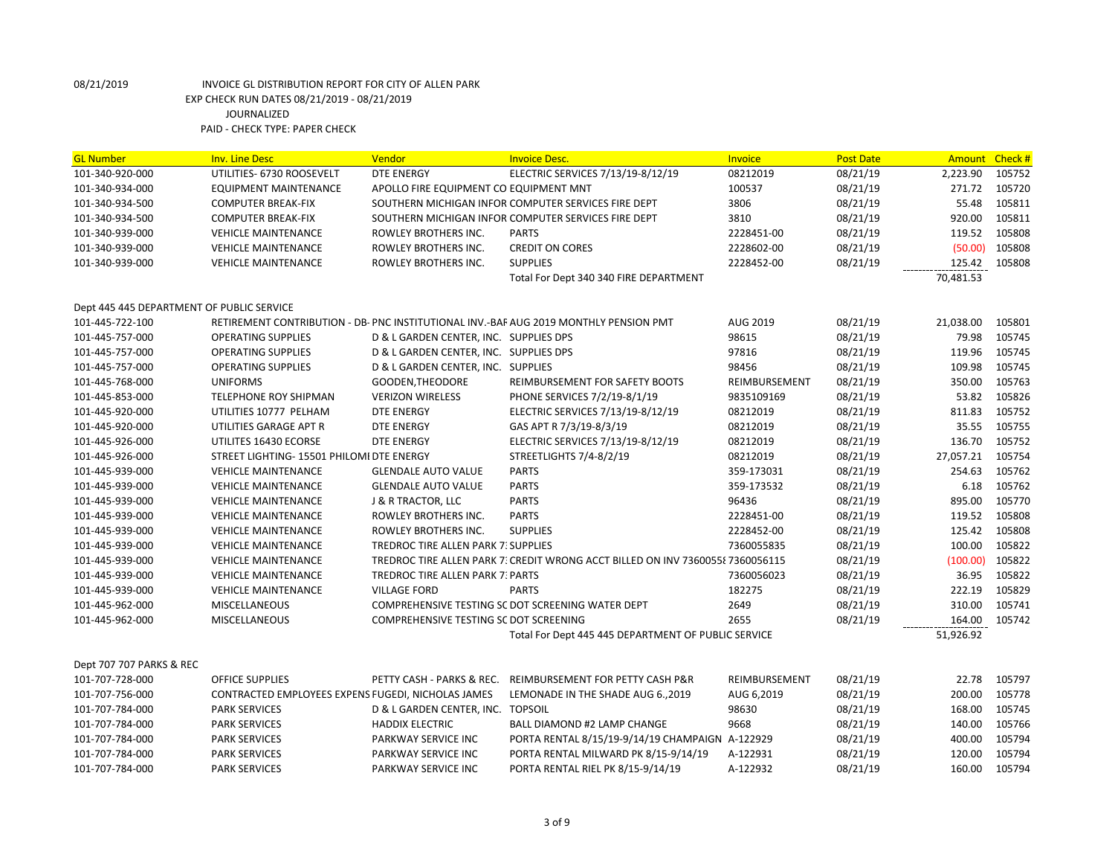| <b>GL Number</b>                          | <b>Inv. Line Desc</b>                              | Vendor                                 | <b>Invoice Desc.</b>                                                                  | <b>Invoice</b> | <b>Post Date</b> | <b>Amount</b> | Check # |
|-------------------------------------------|----------------------------------------------------|----------------------------------------|---------------------------------------------------------------------------------------|----------------|------------------|---------------|---------|
| 101-340-920-000                           | UTILITIES- 6730 ROOSEVELT                          | <b>DTE ENERGY</b>                      | ELECTRIC SERVICES 7/13/19-8/12/19                                                     | 08212019       | 08/21/19         | 2,223.90      | 105752  |
| 101-340-934-000                           | EQUIPMENT MAINTENANCE                              | APOLLO FIRE EQUIPMENT CO EQUIPMENT MNT |                                                                                       | 100537         | 08/21/19         | 271.72        | 105720  |
| 101-340-934-500                           | <b>COMPUTER BREAK-FIX</b>                          |                                        | SOUTHERN MICHIGAN INFOR COMPUTER SERVICES FIRE DEPT                                   | 3806           | 08/21/19         | 55.48         | 105811  |
| 101-340-934-500                           | <b>COMPUTER BREAK-FIX</b>                          |                                        | SOUTHERN MICHIGAN INFOR COMPUTER SERVICES FIRE DEPT                                   | 3810           | 08/21/19         | 920.00        | 105811  |
| 101-340-939-000                           | <b>VEHICLE MAINTENANCE</b>                         | ROWLEY BROTHERS INC.                   | <b>PARTS</b>                                                                          | 2228451-00     | 08/21/19         | 119.52        | 105808  |
| 101-340-939-000                           | <b>VEHICLE MAINTENANCE</b>                         | ROWLEY BROTHERS INC.                   | <b>CREDIT ON CORES</b>                                                                | 2228602-00     | 08/21/19         | (50.00)       | 105808  |
| 101-340-939-000                           | <b>VEHICLE MAINTENANCE</b>                         | ROWLEY BROTHERS INC.                   | <b>SUPPLIES</b>                                                                       | 2228452-00     | 08/21/19         | 125.42        | 105808  |
|                                           |                                                    |                                        | Total For Dept 340 340 FIRE DEPARTMENT                                                |                |                  | 70,481.53     |         |
| Dept 445 445 DEPARTMENT OF PUBLIC SERVICE |                                                    |                                        |                                                                                       |                |                  |               |         |
| 101-445-722-100                           |                                                    |                                        | RETIREMENT CONTRIBUTION - DB- PNC INSTITUTIONAL INV.-BAF AUG 2019 MONTHLY PENSION PMT | AUG 2019       | 08/21/19         | 21,038.00     | 105801  |
| 101-445-757-000                           | <b>OPERATING SUPPLIES</b>                          | D & L GARDEN CENTER, INC. SUPPLIES DPS |                                                                                       | 98615          | 08/21/19         | 79.98         | 105745  |
|                                           |                                                    | D & L GARDEN CENTER, INC. SUPPLIES DPS |                                                                                       | 97816          | 08/21/19         | 119.96        | 105745  |
| 101-445-757-000                           | <b>OPERATING SUPPLIES</b>                          |                                        |                                                                                       |                |                  |               |         |
| 101-445-757-000                           | <b>OPERATING SUPPLIES</b>                          | D & L GARDEN CENTER, INC. SUPPLIES     |                                                                                       | 98456          | 08/21/19         | 109.98        | 105745  |
| 101-445-768-000                           | <b>UNIFORMS</b>                                    | GOODEN, THEODORE                       | REIMBURSEMENT FOR SAFETY BOOTS                                                        | REIMBURSEMENT  | 08/21/19         | 350.00        | 105763  |
| 101-445-853-000                           | TELEPHONE ROY SHIPMAN                              | <b>VERIZON WIRELESS</b>                | PHONE SERVICES 7/2/19-8/1/19                                                          | 9835109169     | 08/21/19         | 53.82         | 105826  |
| 101-445-920-000                           | UTILITIES 10777 PELHAM                             | <b>DTE ENERGY</b>                      | ELECTRIC SERVICES 7/13/19-8/12/19                                                     | 08212019       | 08/21/19         | 811.83        | 105752  |
| 101-445-920-000                           | UTILITIES GARAGE APT R                             | <b>DTE ENERGY</b>                      | GAS APT R 7/3/19-8/3/19                                                               | 08212019       | 08/21/19         | 35.55         | 105755  |
| 101-445-926-000                           | UTILITES 16430 ECORSE                              | <b>DTE ENERGY</b>                      | ELECTRIC SERVICES 7/13/19-8/12/19                                                     | 08212019       | 08/21/19         | 136.70        | 105752  |
| 101-445-926-000                           | STREET LIGHTING- 15501 PHILOMI DTE ENERGY          |                                        | STREETLIGHTS 7/4-8/2/19                                                               | 08212019       | 08/21/19         | 27,057.21     | 105754  |
| 101-445-939-000                           | <b>VEHICLE MAINTENANCE</b>                         | <b>GLENDALE AUTO VALUE</b>             | <b>PARTS</b>                                                                          | 359-173031     | 08/21/19         | 254.63        | 105762  |
| 101-445-939-000                           | <b>VEHICLE MAINTENANCE</b>                         | <b>GLENDALE AUTO VALUE</b>             | <b>PARTS</b>                                                                          | 359-173532     | 08/21/19         | 6.18          | 105762  |
| 101-445-939-000                           | <b>VEHICLE MAINTENANCE</b>                         | <b>J &amp; R TRACTOR, LLC</b>          | <b>PARTS</b>                                                                          | 96436          | 08/21/19         | 895.00        | 105770  |
| 101-445-939-000                           | <b>VEHICLE MAINTENANCE</b>                         | ROWLEY BROTHERS INC.                   | <b>PARTS</b>                                                                          | 2228451-00     | 08/21/19         | 119.52        | 105808  |
| 101-445-939-000                           | <b>VEHICLE MAINTENANCE</b>                         | ROWLEY BROTHERS INC.                   | <b>SUPPLIES</b>                                                                       | 2228452-00     | 08/21/19         | 125.42        | 105808  |
| 101-445-939-000                           | <b>VEHICLE MAINTENANCE</b>                         | TREDROC TIRE ALLEN PARK 7: SUPPLIES    |                                                                                       | 7360055835     | 08/21/19         | 100.00        | 105822  |
| 101-445-939-000                           | <b>VEHICLE MAINTENANCE</b>                         |                                        | TREDROC TIRE ALLEN PARK 7: CREDIT WRONG ACCT BILLED ON INV 73600558 7360056115        |                | 08/21/19         | (100.00)      | 105822  |
| 101-445-939-000                           | <b>VEHICLE MAINTENANCE</b>                         | TREDROC TIRE ALLEN PARK 7: PARTS       |                                                                                       | 7360056023     | 08/21/19         | 36.95         | 105822  |
| 101-445-939-000                           | <b>VEHICLE MAINTENANCE</b>                         | <b>VILLAGE FORD</b>                    | <b>PARTS</b>                                                                          | 182275         | 08/21/19         | 222.19        | 105829  |
| 101-445-962-000                           | <b>MISCELLANEOUS</b>                               |                                        | COMPREHENSIVE TESTING SC DOT SCREENING WATER DEPT                                     | 2649           | 08/21/19         | 310.00        | 105741  |
| 101-445-962-000                           | <b>MISCELLANEOUS</b>                               | COMPREHENSIVE TESTING SC DOT SCREENING |                                                                                       | 2655           | 08/21/19         | 164.00        | 105742  |
|                                           |                                                    |                                        | Total For Dept 445 445 DEPARTMENT OF PUBLIC SERVICE                                   |                |                  | 51,926.92     |         |
| Dept 707 707 PARKS & REC                  |                                                    |                                        |                                                                                       |                |                  |               |         |
| 101-707-728-000                           | <b>OFFICE SUPPLIES</b>                             |                                        | PETTY CASH - PARKS & REC. REIMBURSEMENT FOR PETTY CASH P&R                            | REIMBURSEMENT  | 08/21/19         | 22.78         | 105797  |
| 101-707-756-000                           | CONTRACTED EMPLOYEES EXPENS FUGEDI, NICHOLAS JAMES |                                        | LEMONADE IN THE SHADE AUG 6.,2019                                                     | AUG 6,2019     | 08/21/19         | 200.00        | 105778  |
| 101-707-784-000                           | <b>PARK SERVICES</b>                               | D & L GARDEN CENTER, INC. TOPSOIL      |                                                                                       | 98630          | 08/21/19         | 168.00        | 105745  |
| 101-707-784-000                           | <b>PARK SERVICES</b>                               | <b>HADDIX ELECTRIC</b>                 | <b>BALL DIAMOND #2 LAMP CHANGE</b>                                                    | 9668           | 08/21/19         | 140.00        | 105766  |
| 101-707-784-000                           | <b>PARK SERVICES</b>                               | PARKWAY SERVICE INC                    | PORTA RENTAL 8/15/19-9/14/19 CHAMPAIGN   A-122929                                     |                | 08/21/19         | 400.00        | 105794  |
| 101-707-784-000                           | <b>PARK SERVICES</b>                               | PARKWAY SERVICE INC                    | PORTA RENTAL MILWARD PK 8/15-9/14/19                                                  | A-122931       | 08/21/19         | 120.00        | 105794  |
| 101-707-784-000                           | <b>PARK SERVICES</b>                               | PARKWAY SERVICE INC                    | PORTA RENTAL RIEL PK 8/15-9/14/19                                                     | A-122932       | 08/21/19         | 160.00        | 105794  |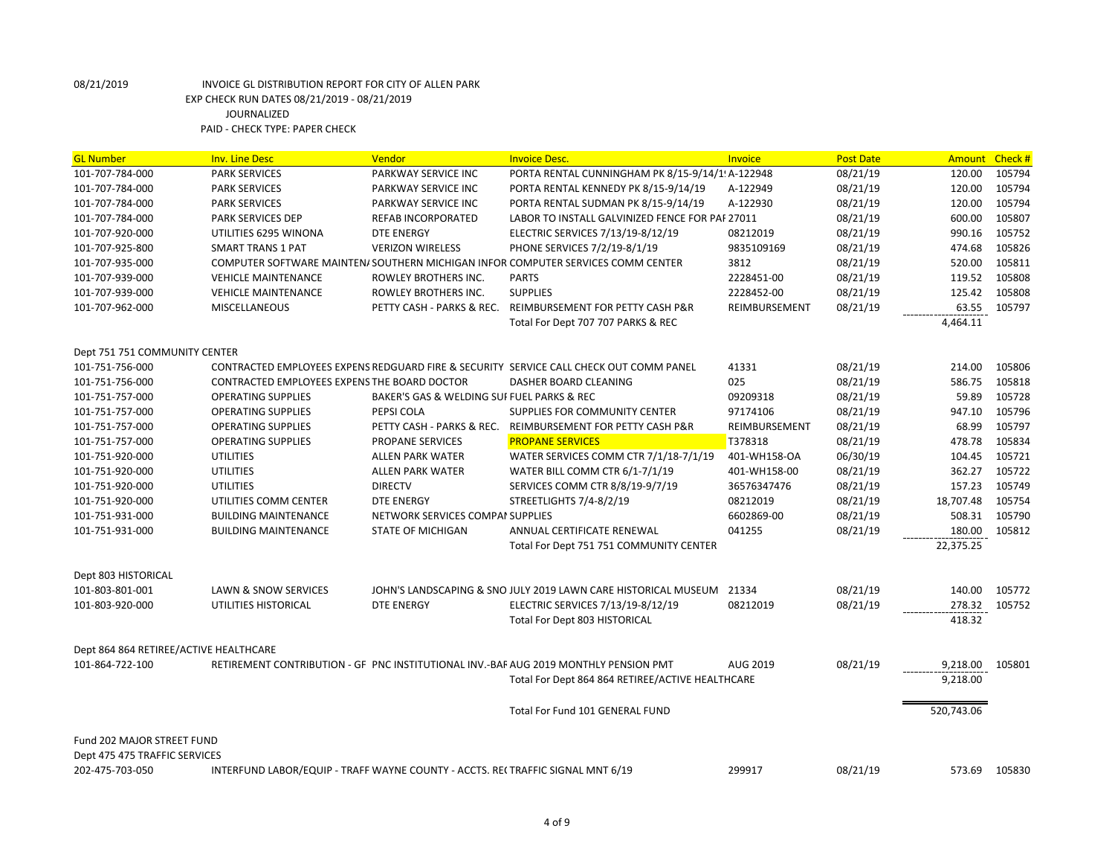| <b>GL Number</b>                       | <b>Inv. Line Desc</b>                                                          | Vendor                                     | <b>Invoice Desc.</b>                                                                   | <b>Invoice</b> | <b>Post Date</b> | <b>Amount</b> | Check#        |
|----------------------------------------|--------------------------------------------------------------------------------|--------------------------------------------|----------------------------------------------------------------------------------------|----------------|------------------|---------------|---------------|
| 101-707-784-000                        | <b>PARK SERVICES</b>                                                           | PARKWAY SERVICE INC                        | PORTA RENTAL CUNNINGHAM PK 8/15-9/14/1 A-122948                                        |                | 08/21/19         | 120.00        | 105794        |
| 101-707-784-000                        | <b>PARK SERVICES</b>                                                           | PARKWAY SERVICE INC                        | PORTA RENTAL KENNEDY PK 8/15-9/14/19                                                   | A-122949       | 08/21/19         | 120.00        | 105794        |
| 101-707-784-000                        | <b>PARK SERVICES</b>                                                           | PARKWAY SERVICE INC                        | PORTA RENTAL SUDMAN PK 8/15-9/14/19                                                    | A-122930       | 08/21/19         | 120.00        | 105794        |
| 101-707-784-000                        | <b>PARK SERVICES DEP</b>                                                       | REFAB INCORPORATED                         | LABOR TO INSTALL GALVINIZED FENCE FOR PAF 27011                                        |                | 08/21/19         | 600.00        | 105807        |
| 101-707-920-000                        | UTILITIES 6295 WINONA                                                          | <b>DTE ENERGY</b>                          | ELECTRIC SERVICES 7/13/19-8/12/19                                                      | 08212019       | 08/21/19         | 990.16        | 105752        |
| 101-707-925-800                        | <b>SMART TRANS 1 PAT</b>                                                       | <b>VERIZON WIRELESS</b>                    | PHONE SERVICES 7/2/19-8/1/19                                                           | 9835109169     | 08/21/19         | 474.68        | 105826        |
| 101-707-935-000                        |                                                                                |                                            | COMPUTER SOFTWARE MAINTEN/ SOUTHERN MICHIGAN INFOR COMPUTER SERVICES COMM CENTER       | 3812           | 08/21/19         | 520.00        | 105811        |
| 101-707-939-000                        | <b>VEHICLE MAINTENANCE</b>                                                     | ROWLEY BROTHERS INC.                       | <b>PARTS</b>                                                                           | 2228451-00     | 08/21/19         | 119.52        | 105808        |
| 101-707-939-000                        | <b>VEHICLE MAINTENANCE</b>                                                     | ROWLEY BROTHERS INC.                       | <b>SUPPLIES</b>                                                                        | 2228452-00     | 08/21/19         | 125.42        | 105808        |
| 101-707-962-000                        | <b>MISCELLANEOUS</b>                                                           |                                            | PETTY CASH - PARKS & REC. REIMBURSEMENT FOR PETTY CASH P&R                             | REIMBURSEMENT  | 08/21/19         | 63.55         | 105797        |
|                                        |                                                                                |                                            | Total For Dept 707 707 PARKS & REC                                                     |                |                  | 4,464.11      |               |
| Dept 751 751 COMMUNITY CENTER          |                                                                                |                                            |                                                                                        |                |                  |               |               |
| 101-751-756-000                        |                                                                                |                                            | CONTRACTED EMPLOYEES EXPENS REDGUARD FIRE & SECURITY SERVICE CALL CHECK OUT COMM PANEL | 41331          | 08/21/19         | 214.00        | 105806        |
| 101-751-756-000                        | CONTRACTED EMPLOYEES EXPENS THE BOARD DOCTOR                                   |                                            | DASHER BOARD CLEANING                                                                  | 025            | 08/21/19         | 586.75        | 105818        |
| 101-751-757-000                        | <b>OPERATING SUPPLIES</b>                                                      | BAKER'S GAS & WELDING SUI FUEL PARKS & REC |                                                                                        | 09209318       | 08/21/19         | 59.89         | 105728        |
| 101-751-757-000                        | <b>OPERATING SUPPLIES</b>                                                      | PEPSI COLA                                 | SUPPLIES FOR COMMUNITY CENTER                                                          | 97174106       | 08/21/19         | 947.10        | 105796        |
| 101-751-757-000                        | <b>OPERATING SUPPLIES</b>                                                      |                                            | PETTY CASH - PARKS & REC. REIMBURSEMENT FOR PETTY CASH P&R                             | REIMBURSEMENT  | 08/21/19         | 68.99         | 105797        |
| 101-751-757-000                        | <b>OPERATING SUPPLIES</b>                                                      | PROPANE SERVICES                           | <b>PROPANE SERVICES</b>                                                                | T378318        | 08/21/19         | 478.78        | 105834        |
| 101-751-920-000                        | <b>UTILITIES</b>                                                               | <b>ALLEN PARK WATER</b>                    | WATER SERVICES COMM CTR 7/1/18-7/1/19                                                  | 401-WH158-OA   | 06/30/19         | 104.45        | 105721        |
| 101-751-920-000                        | <b>UTILITIES</b>                                                               | <b>ALLEN PARK WATER</b>                    | WATER BILL COMM CTR 6/1-7/1/19                                                         | 401-WH158-00   | 08/21/19         | 362.27        | 105722        |
| 101-751-920-000                        | <b>UTILITIES</b>                                                               | <b>DIRECTV</b>                             | SERVICES COMM CTR 8/8/19-9/7/19                                                        | 36576347476    | 08/21/19         | 157.23        | 105749        |
| 101-751-920-000                        | UTILITIES COMM CENTER                                                          | <b>DTE ENERGY</b>                          | STREETLIGHTS 7/4-8/2/19                                                                | 08212019       | 08/21/19         | 18,707.48     | 105754        |
| 101-751-931-000                        | <b>BUILDING MAINTENANCE</b>                                                    | NETWORK SERVICES COMPAI SUPPLIES           |                                                                                        | 6602869-00     | 08/21/19         | 508.31        | 105790        |
| 101-751-931-000                        | <b>BUILDING MAINTENANCE</b>                                                    | <b>STATE OF MICHIGAN</b>                   | ANNUAL CERTIFICATE RENEWAL                                                             | 041255         | 08/21/19         | 180.00        | 105812        |
|                                        |                                                                                |                                            | Total For Dept 751 751 COMMUNITY CENTER                                                |                |                  | 22,375.25     |               |
| Dept 803 HISTORICAL                    |                                                                                |                                            |                                                                                        |                |                  |               |               |
| 101-803-801-001                        | LAWN & SNOW SERVICES                                                           |                                            | JOHN'S LANDSCAPING & SNO JULY 2019 LAWN CARE HISTORICAL MUSEUM 21334                   |                | 08/21/19         | 140.00        | 105772        |
| 101-803-920-000                        | UTILITIES HISTORICAL                                                           | <b>DTE ENERGY</b>                          | ELECTRIC SERVICES 7/13/19-8/12/19                                                      | 08212019       | 08/21/19         | 278.32        | 105752        |
|                                        |                                                                                |                                            | <b>Total For Dept 803 HISTORICAL</b>                                                   |                |                  | 418.32        |               |
| Dept 864 864 RETIREE/ACTIVE HEALTHCARE |                                                                                |                                            |                                                                                        |                |                  |               |               |
| 101-864-722-100                        |                                                                                |                                            | RETIREMENT CONTRIBUTION - GF PNC INSTITUTIONAL INV.-BAF AUG 2019 MONTHLY PENSION PMT   | AUG 2019       | 08/21/19         | 9,218.00      | 105801        |
|                                        |                                                                                |                                            | Total For Dept 864 864 RETIREE/ACTIVE HEALTHCARE                                       |                |                  | 9,218.00      |               |
|                                        |                                                                                |                                            | Total For Fund 101 GENERAL FUND                                                        |                |                  | 520,743.06    |               |
| Fund 202 MAJOR STREET FUND             |                                                                                |                                            |                                                                                        |                |                  |               |               |
| Dept 475 475 TRAFFIC SERVICES          |                                                                                |                                            |                                                                                        |                |                  |               |               |
| 202-475-703-050                        | INTERFUND LABOR/EQUIP - TRAFF WAYNE COUNTY - ACCTS. RECTRAFFIC SIGNAL MNT 6/19 |                                            |                                                                                        | 299917         | 08/21/19         |               | 573.69 105830 |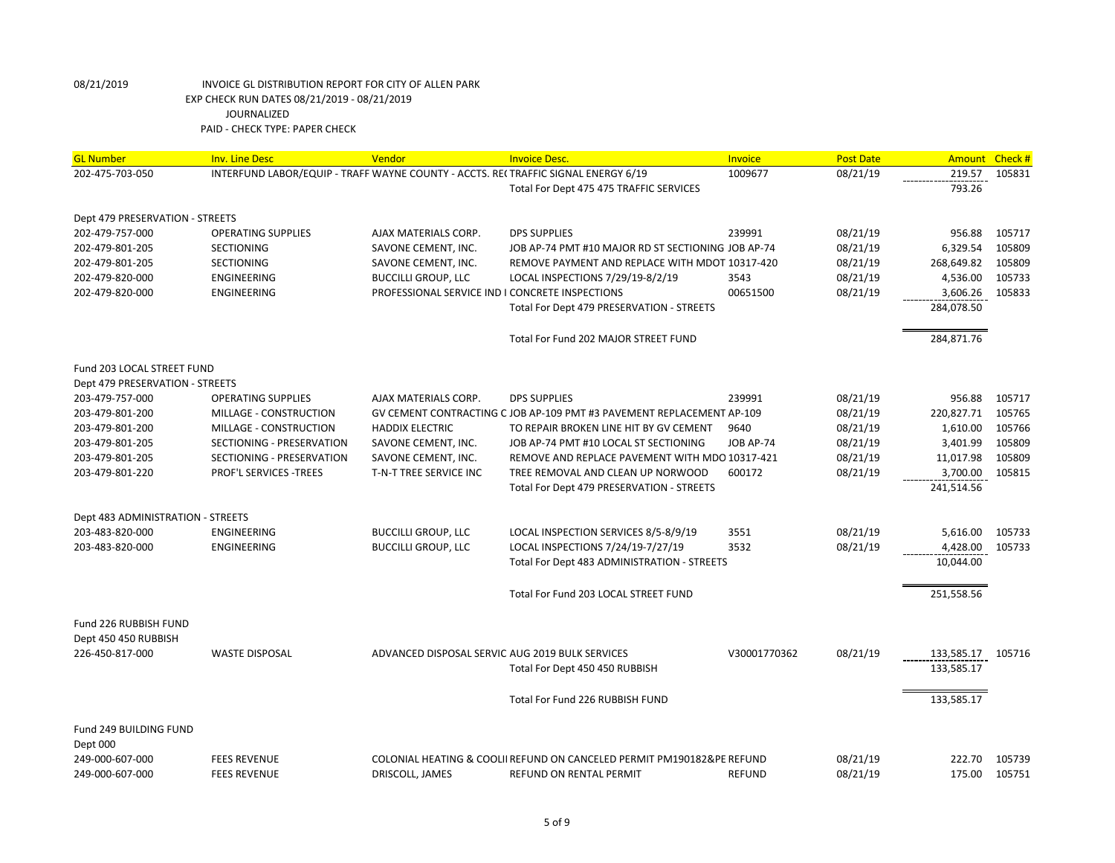| <b>GL Number</b>                  | <b>Inv. Line Desc</b>                                                             | Vendor                                          | <b>Invoice Desc.</b>                                                   | Invoice          | <b>Post Date</b> | Amount     | Check# |
|-----------------------------------|-----------------------------------------------------------------------------------|-------------------------------------------------|------------------------------------------------------------------------|------------------|------------------|------------|--------|
| 202-475-703-050                   | INTERFUND LABOR/EQUIP - TRAFF WAYNE COUNTY - ACCTS. RECTRAFFIC SIGNAL ENERGY 6/19 |                                                 |                                                                        | 1009677          | 08/21/19         | 219.57     | 105831 |
|                                   |                                                                                   |                                                 | Total For Dept 475 475 TRAFFIC SERVICES                                |                  |                  | 793.26     |        |
|                                   |                                                                                   |                                                 |                                                                        |                  |                  |            |        |
| Dept 479 PRESERVATION - STREETS   |                                                                                   |                                                 |                                                                        |                  |                  |            |        |
| 202-479-757-000                   | <b>OPERATING SUPPLIES</b>                                                         | AJAX MATERIALS CORP.                            | <b>DPS SUPPLIES</b>                                                    | 239991           | 08/21/19         | 956.88     | 105717 |
| 202-479-801-205                   | <b>SECTIONING</b>                                                                 | SAVONE CEMENT, INC.                             | JOB AP-74 PMT #10 MAJOR RD ST SECTIONING JOB AP-74                     |                  | 08/21/19         | 6,329.54   | 105809 |
| 202-479-801-205                   | <b>SECTIONING</b>                                                                 | SAVONE CEMENT, INC.                             | REMOVE PAYMENT AND REPLACE WITH MDOT 10317-420                         |                  | 08/21/19         | 268,649.82 | 105809 |
| 202-479-820-000                   | ENGINEERING                                                                       | <b>BUCCILLI GROUP, LLC</b>                      | LOCAL INSPECTIONS 7/29/19-8/2/19                                       | 3543             | 08/21/19         | 4,536.00   | 105733 |
| 202-479-820-000                   | ENGINEERING                                                                       | PROFESSIONAL SERVICE IND I CONCRETE INSPECTIONS |                                                                        | 00651500         | 08/21/19         | 3,606.26   | 105833 |
|                                   |                                                                                   |                                                 | Total For Dept 479 PRESERVATION - STREETS                              |                  |                  | 284,078.50 |        |
|                                   |                                                                                   |                                                 | Total For Fund 202 MAJOR STREET FUND                                   |                  |                  | 284,871.76 |        |
| Fund 203 LOCAL STREET FUND        |                                                                                   |                                                 |                                                                        |                  |                  |            |        |
| Dept 479 PRESERVATION - STREETS   |                                                                                   |                                                 |                                                                        |                  |                  |            |        |
| 203-479-757-000                   | <b>OPERATING SUPPLIES</b>                                                         | AJAX MATERIALS CORP.                            | <b>DPS SUPPLIES</b>                                                    | 239991           | 08/21/19         | 956.88     | 105717 |
| 203-479-801-200                   | MILLAGE - CONSTRUCTION                                                            |                                                 | GV CEMENT CONTRACTING C JOB AP-109 PMT #3 PAVEMENT REPLACEMENT AP-109  |                  | 08/21/19         | 220,827.71 | 105765 |
| 203-479-801-200                   | MILLAGE - CONSTRUCTION                                                            | <b>HADDIX ELECTRIC</b>                          | TO REPAIR BROKEN LINE HIT BY GV CEMENT                                 | 9640             | 08/21/19         | 1,610.00   | 105766 |
| 203-479-801-205                   | SECTIONING - PRESERVATION                                                         | SAVONE CEMENT, INC.                             | JOB AP-74 PMT #10 LOCAL ST SECTIONING                                  | <b>JOB AP-74</b> | 08/21/19         | 3,401.99   | 105809 |
| 203-479-801-205                   | SECTIONING - PRESERVATION                                                         | SAVONE CEMENT, INC.                             | REMOVE AND REPLACE PAVEMENT WITH MDO 10317-421                         |                  | 08/21/19         | 11,017.98  | 105809 |
| 203-479-801-220                   | PROF'L SERVICES - TREES                                                           | T-N-T TREE SERVICE INC                          | TREE REMOVAL AND CLEAN UP NORWOOD                                      | 600172           | 08/21/19         | 3,700.00   | 105815 |
|                                   |                                                                                   |                                                 | Total For Dept 479 PRESERVATION - STREETS                              |                  |                  | 241,514.56 |        |
|                                   |                                                                                   |                                                 |                                                                        |                  |                  |            |        |
| Dept 483 ADMINISTRATION - STREETS |                                                                                   |                                                 |                                                                        |                  |                  |            |        |
| 203-483-820-000                   | ENGINEERING                                                                       | <b>BUCCILLI GROUP, LLC</b>                      | LOCAL INSPECTION SERVICES 8/5-8/9/19                                   | 3551             | 08/21/19         | 5,616.00   | 105733 |
| 203-483-820-000                   | ENGINEERING                                                                       | <b>BUCCILLI GROUP, LLC</b>                      | LOCAL INSPECTIONS 7/24/19-7/27/19                                      | 3532             | 08/21/19         | 4,428.00   | 105733 |
|                                   |                                                                                   |                                                 | Total For Dept 483 ADMINISTRATION - STREETS                            |                  |                  | 10,044.00  |        |
|                                   |                                                                                   |                                                 | Total For Fund 203 LOCAL STREET FUND                                   |                  |                  | 251,558.56 |        |
|                                   |                                                                                   |                                                 |                                                                        |                  |                  |            |        |
| Fund 226 RUBBISH FUND             |                                                                                   |                                                 |                                                                        |                  |                  |            |        |
| Dept 450 450 RUBBISH              |                                                                                   |                                                 |                                                                        |                  |                  |            |        |
| 226-450-817-000                   | <b>WASTE DISPOSAL</b>                                                             | ADVANCED DISPOSAL SERVIC AUG 2019 BULK SERVICES |                                                                        | V30001770362     | 08/21/19         | 133,585.17 | 105716 |
|                                   |                                                                                   |                                                 | Total For Dept 450 450 RUBBISH                                         |                  |                  | 133,585.17 |        |
|                                   |                                                                                   |                                                 | Total For Fund 226 RUBBISH FUND                                        |                  |                  | 133,585.17 |        |
| Fund 249 BUILDING FUND            |                                                                                   |                                                 |                                                                        |                  |                  |            |        |
| Dept 000                          |                                                                                   |                                                 |                                                                        |                  |                  |            |        |
| 249-000-607-000                   | <b>FEES REVENUE</b>                                                               |                                                 | COLONIAL HEATING & COOLII REFUND ON CANCELED PERMIT PM190182&PE REFUND |                  | 08/21/19         | 222.70     | 105739 |
| 249-000-607-000                   | <b>FEES REVENUE</b>                                                               | DRISCOLL, JAMES                                 | REFUND ON RENTAL PERMIT                                                | <b>REFUND</b>    | 08/21/19         | 175.00     | 105751 |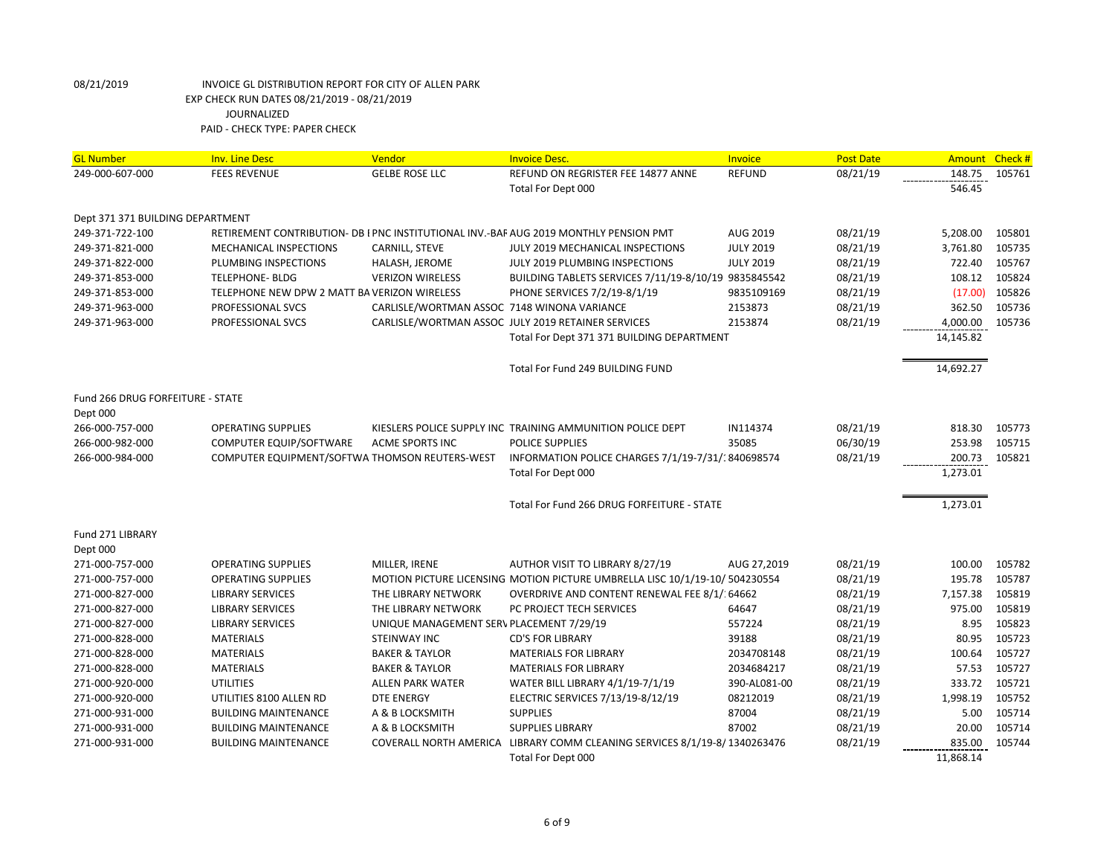| <b>GL Number</b>                                    | <b>Inv. Line Desc</b>                          | Vendor                                      | <b>Invoice Desc.</b>                                                                  | Invoice          | <b>Post Date</b> | <b>Amount</b> | Check# |
|-----------------------------------------------------|------------------------------------------------|---------------------------------------------|---------------------------------------------------------------------------------------|------------------|------------------|---------------|--------|
| 249-000-607-000                                     | <b>FEES REVENUE</b>                            | <b>GELBE ROSE LLC</b>                       | REFUND ON REGRISTER FEE 14877 ANNE                                                    | <b>REFUND</b>    | 08/21/19         | 148.75        | 105761 |
|                                                     |                                                |                                             | Total For Dept 000                                                                    |                  |                  | 546.45        |        |
|                                                     |                                                |                                             |                                                                                       |                  |                  |               |        |
| Dept 371 371 BUILDING DEPARTMENT<br>249-371-722-100 |                                                |                                             | RETIREMENT CONTRIBUTION- DB I PNC INSTITUTIONAL INV.-BAF AUG 2019 MONTHLY PENSION PMT | AUG 2019         | 08/21/19         | 5,208.00      | 105801 |
| 249-371-821-000                                     | MECHANICAL INSPECTIONS                         |                                             | JULY 2019 MECHANICAL INSPECTIONS                                                      | <b>JULY 2019</b> | 08/21/19         | 3,761.80      | 105735 |
|                                                     |                                                | CARNILL, STEVE                              |                                                                                       |                  |                  |               | 105767 |
| 249-371-822-000                                     | PLUMBING INSPECTIONS                           | HALASH, JEROME                              | JULY 2019 PLUMBING INSPECTIONS                                                        | <b>JULY 2019</b> | 08/21/19         | 722.40        | 105824 |
| 249-371-853-000                                     | <b>TELEPHONE- BLDG</b>                         | <b>VERIZON WIRELESS</b>                     | BUILDING TABLETS SERVICES 7/11/19-8/10/19 9835845542                                  |                  | 08/21/19         | 108.12        |        |
| 249-371-853-000                                     | TELEPHONE NEW DPW 2 MATT BA VERIZON WIRELESS   |                                             | PHONE SERVICES 7/2/19-8/1/19                                                          | 9835109169       | 08/21/19         | (17.00)       | 105826 |
| 249-371-963-000                                     | PROFESSIONAL SVCS                              | CARLISLE/WORTMAN ASSOC 7148 WINONA VARIANCE |                                                                                       | 2153873          | 08/21/19         | 362.50        | 105736 |
| 249-371-963-000                                     | PROFESSIONAL SVCS                              |                                             | CARLISLE/WORTMAN ASSOC JULY 2019 RETAINER SERVICES                                    | 2153874          | 08/21/19         | 4,000.00      | 105736 |
|                                                     |                                                |                                             | Total For Dept 371 371 BUILDING DEPARTMENT                                            |                  |                  | 14,145.82     |        |
|                                                     |                                                |                                             | Total For Fund 249 BUILDING FUND                                                      |                  |                  | 14,692.27     |        |
| Fund 266 DRUG FORFEITURE - STATE                    |                                                |                                             |                                                                                       |                  |                  |               |        |
| Dept 000                                            |                                                |                                             |                                                                                       |                  |                  |               |        |
| 266-000-757-000                                     | <b>OPERATING SUPPLIES</b>                      |                                             | KIESLERS POLICE SUPPLY INC TRAINING AMMUNITION POLICE DEPT                            | IN114374         | 08/21/19         | 818.30        | 105773 |
| 266-000-982-000                                     | COMPUTER EQUIP/SOFTWARE                        | <b>ACME SPORTS INC</b>                      | <b>POLICE SUPPLIES</b>                                                                | 35085            | 06/30/19         | 253.98        | 105715 |
| 266-000-984-000                                     | COMPUTER EQUIPMENT/SOFTWA THOMSON REUTERS-WEST |                                             | INFORMATION POLICE CHARGES 7/1/19-7/31/1840698574                                     |                  | 08/21/19         | 200.73        | 105821 |
|                                                     |                                                |                                             | Total For Dept 000                                                                    |                  |                  | 1,273.01      |        |
|                                                     |                                                |                                             |                                                                                       |                  |                  |               |        |
|                                                     |                                                |                                             | Total For Fund 266 DRUG FORFEITURE - STATE                                            |                  |                  | 1,273.01      |        |
| Fund 271 LIBRARY                                    |                                                |                                             |                                                                                       |                  |                  |               |        |
| Dept 000                                            |                                                |                                             |                                                                                       |                  |                  |               |        |
| 271-000-757-000                                     | <b>OPERATING SUPPLIES</b>                      | MILLER, IRENE                               | AUTHOR VISIT TO LIBRARY 8/27/19                                                       | AUG 27,2019      | 08/21/19         | 100.00        | 105782 |
| 271-000-757-000                                     | <b>OPERATING SUPPLIES</b>                      |                                             | MOTION PICTURE LICENSING MOTION PICTURE UMBRELLA LISC 10/1/19-10/ 504230554           |                  | 08/21/19         | 195.78        | 105787 |
| 271-000-827-000                                     | <b>LIBRARY SERVICES</b>                        | THE LIBRARY NETWORK                         | OVERDRIVE AND CONTENT RENEWAL FEE 8/1/ 64662                                          |                  | 08/21/19         | 7,157.38      | 105819 |
| 271-000-827-000                                     | <b>LIBRARY SERVICES</b>                        | THE LIBRARY NETWORK                         | PC PROJECT TECH SERVICES                                                              | 64647            | 08/21/19         | 975.00        | 105819 |
| 271-000-827-000                                     | <b>LIBRARY SERVICES</b>                        | UNIQUE MANAGEMENT SERV PLACEMENT 7/29/19    |                                                                                       | 557224           | 08/21/19         | 8.95          | 105823 |
| 271-000-828-000                                     | <b>MATERIALS</b>                               | STEINWAY INC                                | <b>CD'S FOR LIBRARY</b>                                                               | 39188            | 08/21/19         | 80.95         | 105723 |
| 271-000-828-000                                     | <b>MATERIALS</b>                               | <b>BAKER &amp; TAYLOR</b>                   | <b>MATERIALS FOR LIBRARY</b>                                                          | 2034708148       | 08/21/19         | 100.64        | 105727 |
| 271-000-828-000                                     | <b>MATERIALS</b>                               | <b>BAKER &amp; TAYLOR</b>                   | <b>MATERIALS FOR LIBRARY</b>                                                          | 2034684217       | 08/21/19         | 57.53         | 105727 |
| 271-000-920-000                                     | <b>UTILITIES</b>                               | <b>ALLEN PARK WATER</b>                     | WATER BILL LIBRARY 4/1/19-7/1/19                                                      | 390-AL081-00     | 08/21/19         | 333.72        | 105721 |
| 271-000-920-000                                     | UTILITIES 8100 ALLEN RD                        | <b>DTE ENERGY</b>                           | ELECTRIC SERVICES 7/13/19-8/12/19                                                     | 08212019         | 08/21/19         | 1,998.19      | 105752 |
| 271-000-931-000                                     | <b>BUILDING MAINTENANCE</b>                    | A & B LOCKSMITH                             | <b>SUPPLIES</b>                                                                       | 87004            | 08/21/19         | 5.00          | 105714 |
| 271-000-931-000                                     | <b>BUILDING MAINTENANCE</b>                    | A & B LOCKSMITH                             | <b>SUPPLIES LIBRARY</b>                                                               | 87002            | 08/21/19         | 20.00         | 105714 |
| 271-000-931-000                                     | <b>BUILDING MAINTENANCE</b>                    |                                             | COVERALL NORTH AMERICA LIBRARY COMM CLEANING SERVICES 8/1/19-8/1340263476             |                  | 08/21/19         | 835.00        | 105744 |
|                                                     |                                                |                                             | Total For Dept 000                                                                    |                  |                  | 11,868.14     |        |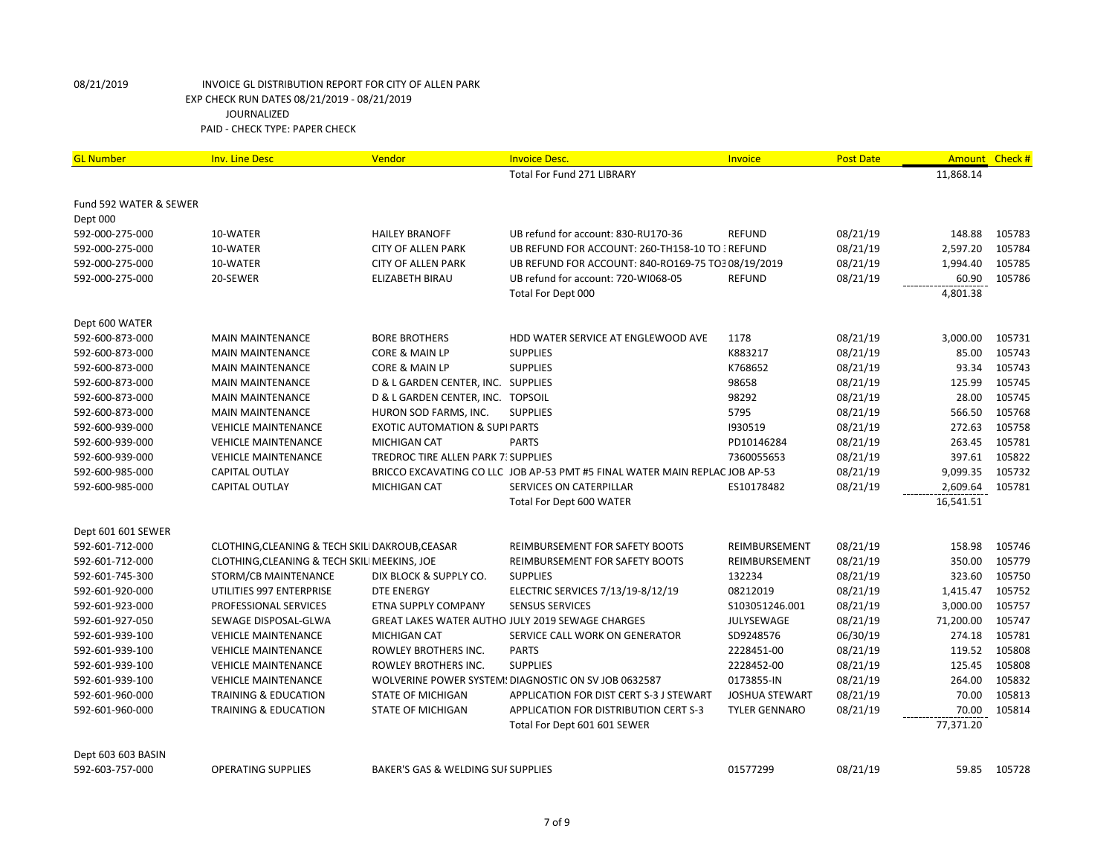| <b>GL Number</b>       | <b>Inv. Line Desc</b>                           | Vendor                                     | <b>Invoice Desc.</b>                                                        | Invoice               | <b>Post Date</b> | Amount    | Check#       |
|------------------------|-------------------------------------------------|--------------------------------------------|-----------------------------------------------------------------------------|-----------------------|------------------|-----------|--------------|
|                        |                                                 |                                            | Total For Fund 271 LIBRARY                                                  |                       |                  | 11,868.14 |              |
|                        |                                                 |                                            |                                                                             |                       |                  |           |              |
| Fund 592 WATER & SEWER |                                                 |                                            |                                                                             |                       |                  |           |              |
| Dept 000               |                                                 |                                            |                                                                             |                       |                  |           |              |
| 592-000-275-000        | 10-WATER                                        | <b>HAILEY BRANOFF</b>                      | UB refund for account: 830-RU170-36                                         | <b>REFUND</b>         | 08/21/19         | 148.88    | 105783       |
| 592-000-275-000        | 10-WATER                                        | <b>CITY OF ALLEN PARK</b>                  | UB REFUND FOR ACCOUNT: 260-TH158-10 TO : REFUND                             |                       | 08/21/19         | 2,597.20  | 105784       |
| 592-000-275-000        | 10-WATER                                        | <b>CITY OF ALLEN PARK</b>                  | UB REFUND FOR ACCOUNT: 840-RO169-75 TO3 08/19/2019                          |                       | 08/21/19         | 1,994.40  | 105785       |
| 592-000-275-000        | 20-SEWER                                        | ELIZABETH BIRAU                            | UB refund for account: 720-WI068-05                                         | REFUND                | 08/21/19         | 60.90     | 105786       |
|                        |                                                 |                                            | Total For Dept 000                                                          |                       |                  | 4,801.38  |              |
| Dept 600 WATER         |                                                 |                                            |                                                                             |                       |                  |           |              |
| 592-600-873-000        | <b>MAIN MAINTENANCE</b>                         | <b>BORE BROTHERS</b>                       | HDD WATER SERVICE AT ENGLEWOOD AVE                                          | 1178                  | 08/21/19         | 3,000.00  | 105731       |
| 592-600-873-000        | <b>MAIN MAINTENANCE</b>                         | <b>CORE &amp; MAIN LP</b>                  | <b>SUPPLIES</b>                                                             | K883217               | 08/21/19         | 85.00     | 105743       |
| 592-600-873-000        | <b>MAIN MAINTENANCE</b>                         | <b>CORE &amp; MAIN LP</b>                  | <b>SUPPLIES</b>                                                             | K768652               | 08/21/19         | 93.34     | 105743       |
| 592-600-873-000        | <b>MAIN MAINTENANCE</b>                         | D & L GARDEN CENTER, INC. SUPPLIES         |                                                                             | 98658                 | 08/21/19         | 125.99    | 105745       |
| 592-600-873-000        | <b>MAIN MAINTENANCE</b>                         | D & L GARDEN CENTER, INC. TOPSOIL          |                                                                             | 98292                 | 08/21/19         | 28.00     | 105745       |
| 592-600-873-000        | <b>MAIN MAINTENANCE</b>                         | HURON SOD FARMS, INC.                      | <b>SUPPLIES</b>                                                             | 5795                  | 08/21/19         | 566.50    | 105768       |
| 592-600-939-000        | <b>VEHICLE MAINTENANCE</b>                      | <b>EXOTIC AUTOMATION &amp; SUPIPARTS</b>   |                                                                             | 1930519               | 08/21/19         | 272.63    | 105758       |
| 592-600-939-000        | <b>VEHICLE MAINTENANCE</b>                      | <b>MICHIGAN CAT</b>                        | <b>PARTS</b>                                                                | PD10146284            | 08/21/19         | 263.45    | 105781       |
| 592-600-939-000        | <b>VEHICLE MAINTENANCE</b>                      | <b>TREDROC TIRE ALLEN PARK 7: SUPPLIES</b> |                                                                             | 7360055653            | 08/21/19         | 397.61    | 105822       |
| 592-600-985-000        | <b>CAPITAL OUTLAY</b>                           |                                            | BRICCO EXCAVATING CO LLC JOB AP-53 PMT #5 FINAL WATER MAIN REPLAC JOB AP-53 |                       | 08/21/19         | 9,099.35  | 105732       |
| 592-600-985-000        | <b>CAPITAL OUTLAY</b>                           | <b>MICHIGAN CAT</b>                        | <b>SERVICES ON CATERPILLAR</b>                                              | ES10178482            | 08/21/19         | 2,609.64  | 105781       |
|                        |                                                 |                                            | Total For Dept 600 WATER                                                    |                       |                  | 16,541.51 |              |
| Dept 601 601 SEWER     |                                                 |                                            |                                                                             |                       |                  |           |              |
| 592-601-712-000        | CLOTHING, CLEANING & TECH SKILI DAKROUB, CEASAR |                                            | <b>REIMBURSEMENT FOR SAFETY BOOTS</b>                                       | REIMBURSEMENT         | 08/21/19         | 158.98    | 105746       |
| 592-601-712-000        | CLOTHING, CLEANING & TECH SKILI MEEKINS, JOE    |                                            | REIMBURSEMENT FOR SAFETY BOOTS                                              | REIMBURSEMENT         | 08/21/19         | 350.00    | 105779       |
| 592-601-745-300        | STORM/CB MAINTENANCE                            | DIX BLOCK & SUPPLY CO.                     | <b>SUPPLIES</b>                                                             | 132234                | 08/21/19         | 323.60    | 105750       |
| 592-601-920-000        | UTILITIES 997 ENTERPRISE                        | <b>DTE ENERGY</b>                          | ELECTRIC SERVICES 7/13/19-8/12/19                                           | 08212019              | 08/21/19         | 1,415.47  | 105752       |
| 592-601-923-000        | PROFESSIONAL SERVICES                           | ETNA SUPPLY COMPANY                        | <b>SENSUS SERVICES</b>                                                      | S103051246.001        | 08/21/19         | 3,000.00  | 105757       |
| 592-601-927-050        | SEWAGE DISPOSAL-GLWA                            |                                            | GREAT LAKES WATER AUTHO JULY 2019 SEWAGE CHARGES                            | JULYSEWAGE            | 08/21/19         | 71,200.00 | 105747       |
| 592-601-939-100        | <b>VEHICLE MAINTENANCE</b>                      | <b>MICHIGAN CAT</b>                        | SERVICE CALL WORK ON GENERATOR                                              | SD9248576             | 06/30/19         | 274.18    | 105781       |
| 592-601-939-100        | <b>VEHICLE MAINTENANCE</b>                      | ROWLEY BROTHERS INC.                       | <b>PARTS</b>                                                                | 2228451-00            | 08/21/19         | 119.52    | 105808       |
| 592-601-939-100        | <b>VEHICLE MAINTENANCE</b>                      | ROWLEY BROTHERS INC.                       | <b>SUPPLIES</b>                                                             | 2228452-00            | 08/21/19         | 125.45    | 105808       |
| 592-601-939-100        | <b>VEHICLE MAINTENANCE</b>                      |                                            | WOLVERINE POWER SYSTEM: DIAGNOSTIC ON SV JOB 0632587                        | 0173855-IN            | 08/21/19         | 264.00    | 105832       |
| 592-601-960-000        | <b>TRAINING &amp; EDUCATION</b>                 | <b>STATE OF MICHIGAN</b>                   | APPLICATION FOR DIST CERT S-3 J STEWART                                     | <b>JOSHUA STEWART</b> | 08/21/19         | 70.00     | 105813       |
| 592-601-960-000        | <b>TRAINING &amp; EDUCATION</b>                 | <b>STATE OF MICHIGAN</b>                   | APPLICATION FOR DISTRIBUTION CERT S-3                                       | <b>TYLER GENNARO</b>  | 08/21/19         | 70.00     | 105814       |
|                        |                                                 |                                            | Total For Dept 601 601 SEWER                                                |                       |                  | 77,371.20 |              |
| Dept 603 603 BASIN     |                                                 |                                            |                                                                             |                       |                  |           |              |
| 592-603-757-000        | <b>OPERATING SUPPLIES</b>                       | BAKER'S GAS & WELDING SUI SUPPLIES         |                                                                             | 01577299              | 08/21/19         |           | 59.85 105728 |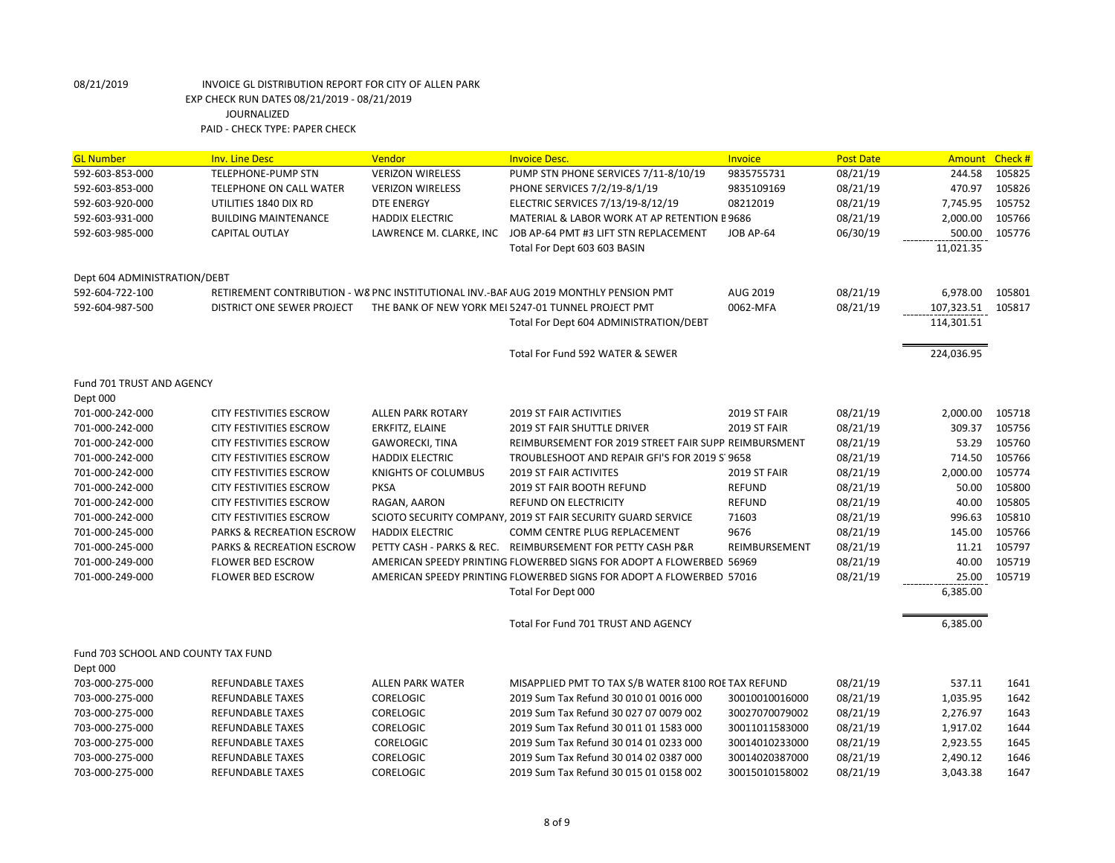| <b>GL Number</b>                    | <b>Inv. Line Desc</b>          | Vendor                   | <b>Invoice Desc.</b>                                                                 | <b>Invoice</b>      | <b>Post Date</b> | Amount     | Check # |
|-------------------------------------|--------------------------------|--------------------------|--------------------------------------------------------------------------------------|---------------------|------------------|------------|---------|
| 592-603-853-000                     | <b>TELEPHONE-PUMP STN</b>      | <b>VERIZON WIRELESS</b>  | PUMP STN PHONE SERVICES 7/11-8/10/19                                                 | 9835755731          | 08/21/19         | 244.58     | 105825  |
| 592-603-853-000                     | <b>TELEPHONE ON CALL WATER</b> | <b>VERIZON WIRELESS</b>  | PHONE SERVICES 7/2/19-8/1/19                                                         | 9835109169          | 08/21/19         | 470.97     | 105826  |
| 592-603-920-000                     | UTILITIES 1840 DIX RD          | <b>DTE ENERGY</b>        | ELECTRIC SERVICES 7/13/19-8/12/19                                                    | 08212019            | 08/21/19         | 7,745.95   | 105752  |
| 592-603-931-000                     | <b>BUILDING MAINTENANCE</b>    | <b>HADDIX ELECTRIC</b>   | MATERIAL & LABOR WORK AT AP RETENTION E 9686                                         |                     | 08/21/19         | 2,000.00   | 105766  |
| 592-603-985-000                     | <b>CAPITAL OUTLAY</b>          | LAWRENCE M. CLARKE, INC  | JOB AP-64 PMT #3 LIFT STN REPLACEMENT                                                | JOB AP-64           | 06/30/19         | 500.00     | 105776  |
|                                     |                                |                          | Total For Dept 603 603 BASIN                                                         |                     |                  | 11,021.35  |         |
| Dept 604 ADMINISTRATION/DEBT        |                                |                          |                                                                                      |                     |                  |            |         |
| 592-604-722-100                     |                                |                          | RETIREMENT CONTRIBUTION - W8 PNC INSTITUTIONAL INV.-BAF AUG 2019 MONTHLY PENSION PMT | AUG 2019            | 08/21/19         | 6,978.00   | 105801  |
| 592-604-987-500                     | DISTRICT ONE SEWER PROJECT     |                          | THE BANK OF NEW YORK MEI 5247-01 TUNNEL PROJECT PMT                                  | 0062-MFA            | 08/21/19         | 107,323.51 | 105817  |
|                                     |                                |                          | Total For Dept 604 ADMINISTRATION/DEBT                                               |                     |                  | 114,301.51 |         |
|                                     |                                |                          | Total For Fund 592 WATER & SEWER                                                     |                     |                  | 224,036.95 |         |
| Fund 701 TRUST AND AGENCY           |                                |                          |                                                                                      |                     |                  |            |         |
| Dept 000                            |                                |                          |                                                                                      |                     |                  |            |         |
| 701-000-242-000                     | <b>CITY FESTIVITIES ESCROW</b> | <b>ALLEN PARK ROTARY</b> | <b>2019 ST FAIR ACTIVITIES</b>                                                       | 2019 ST FAIR        | 08/21/19         | 2,000.00   | 105718  |
| 701-000-242-000                     | <b>CITY FESTIVITIES ESCROW</b> | ERKFITZ, ELAINE          | <b>2019 ST FAIR SHUTTLE DRIVER</b>                                                   | <b>2019 ST FAIR</b> | 08/21/19         | 309.37     | 105756  |
| 701-000-242-000                     | <b>CITY FESTIVITIES ESCROW</b> | GAWORECKI, TINA          | REIMBURSEMENT FOR 2019 STREET FAIR SUPP REIMBURSMENT                                 |                     | 08/21/19         | 53.29      | 105760  |
| 701-000-242-000                     | <b>CITY FESTIVITIES ESCROW</b> | <b>HADDIX ELECTRIC</b>   | TROUBLESHOOT AND REPAIR GFI'S FOR 2019 S' 9658                                       |                     | 08/21/19         | 714.50     | 105766  |
| 701-000-242-000                     | <b>CITY FESTIVITIES ESCROW</b> | KNIGHTS OF COLUMBUS      | <b>2019 ST FAIR ACTIVITES</b>                                                        | 2019 ST FAIR        | 08/21/19         | 2,000.00   | 105774  |
| 701-000-242-000                     | CITY FESTIVITIES ESCROW        | <b>PKSA</b>              | 2019 ST FAIR BOOTH REFUND                                                            | <b>REFUND</b>       | 08/21/19         | 50.00      | 105800  |
| 701-000-242-000                     | CITY FESTIVITIES ESCROW        | RAGAN, AARON             | REFUND ON ELECTRICITY                                                                | <b>REFUND</b>       | 08/21/19         | 40.00      | 105805  |
| 701-000-242-000                     | <b>CITY FESTIVITIES ESCROW</b> |                          | SCIOTO SECURITY COMPANY, 2019 ST FAIR SECURITY GUARD SERVICE                         | 71603               | 08/21/19         | 996.63     | 105810  |
| 701-000-245-000                     | PARKS & RECREATION ESCROW      | <b>HADDIX ELECTRIC</b>   | COMM CENTRE PLUG REPLACEMENT                                                         | 9676                | 08/21/19         | 145.00     | 105766  |
| 701-000-245-000                     | PARKS & RECREATION ESCROW      |                          | PETTY CASH - PARKS & REC. REIMBURSEMENT FOR PETTY CASH P&R                           | REIMBURSEMENT       | 08/21/19         | 11.21      | 105797  |
| 701-000-249-000                     | <b>FLOWER BED ESCROW</b>       |                          | AMERICAN SPEEDY PRINTING FLOWERBED SIGNS FOR ADOPT A FLOWERBED 56969                 |                     | 08/21/19         | 40.00      | 105719  |
| 701-000-249-000                     | <b>FLOWER BED ESCROW</b>       |                          | AMERICAN SPEEDY PRINTING FLOWERBED SIGNS FOR ADOPT A FLOWERBED 57016                 |                     | 08/21/19         | 25.00      | 105719  |
|                                     |                                |                          | Total For Dept 000                                                                   |                     |                  | 6,385.00   |         |
|                                     |                                |                          | Total For Fund 701 TRUST AND AGENCY                                                  |                     |                  | 6,385.00   |         |
| Fund 703 SCHOOL AND COUNTY TAX FUND |                                |                          |                                                                                      |                     |                  |            |         |
| Dept 000                            |                                |                          |                                                                                      |                     |                  |            |         |
| 703-000-275-000                     | <b>REFUNDABLE TAXES</b>        | <b>ALLEN PARK WATER</b>  | MISAPPLIED PMT TO TAX S/B WATER 8100 ROE TAX REFUND                                  |                     | 08/21/19         | 537.11     | 1641    |
| 703-000-275-000                     | <b>REFUNDABLE TAXES</b>        | CORELOGIC                | 2019 Sum Tax Refund 30 010 01 0016 000                                               | 30010010016000      | 08/21/19         | 1,035.95   | 1642    |
| 703-000-275-000                     | <b>REFUNDABLE TAXES</b>        | <b>CORELOGIC</b>         | 2019 Sum Tax Refund 30 027 07 0079 002                                               | 30027070079002      | 08/21/19         | 2,276.97   | 1643    |
| 703-000-275-000                     | <b>REFUNDABLE TAXES</b>        | <b>CORELOGIC</b>         | 2019 Sum Tax Refund 30 011 01 1583 000                                               | 30011011583000      | 08/21/19         | 1,917.02   | 1644    |
| 703-000-275-000                     | <b>REFUNDABLE TAXES</b>        | <b>CORELOGIC</b>         | 2019 Sum Tax Refund 30 014 01 0233 000                                               | 30014010233000      | 08/21/19         | 2,923.55   | 1645    |
| 703-000-275-000                     | REFUNDABLE TAXES               | <b>CORELOGIC</b>         | 2019 Sum Tax Refund 30 014 02 0387 000                                               | 30014020387000      | 08/21/19         | 2,490.12   | 1646    |
| 703-000-275-000                     | REFUNDABLE TAXES               | <b>CORELOGIC</b>         | 2019 Sum Tax Refund 30 015 01 0158 002                                               | 30015010158002      | 08/21/19         | 3,043.38   | 1647    |